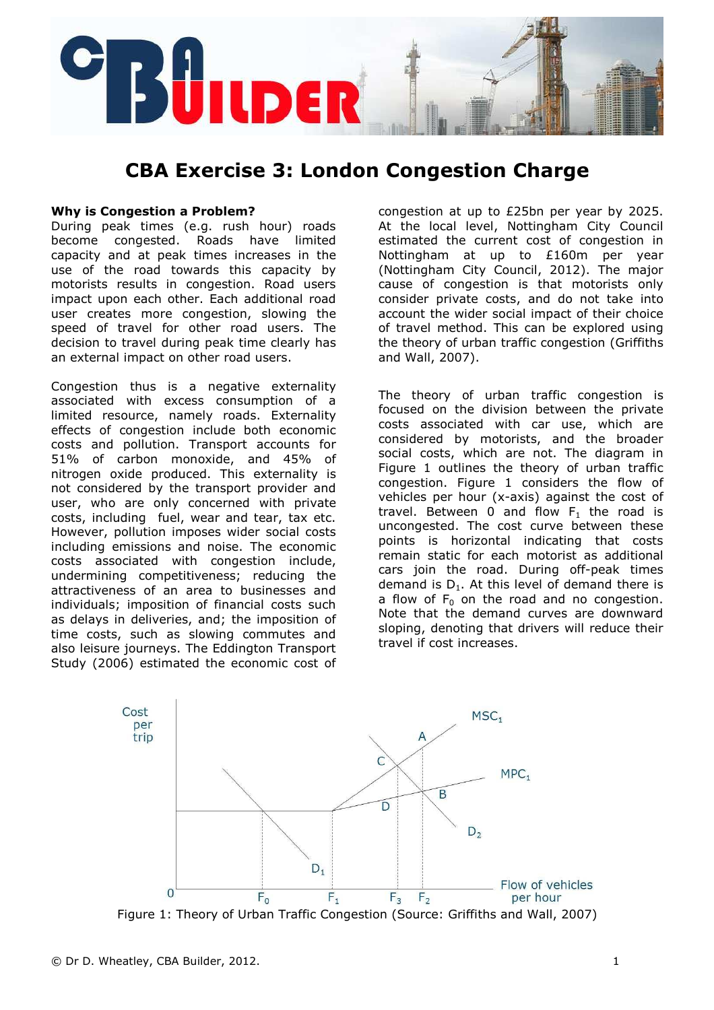

# CBA Exercise 3: London Congestion Charge

### Why is Congestion a Problem?

During peak times (e.g. rush hour) roads become congested. Roads have limited capacity and at peak times increases in the use of the road towards this capacity by motorists results in congestion. Road users impact upon each other. Each additional road user creates more congestion, slowing the speed of travel for other road users. The decision to travel during peak time clearly has an external impact on other road users.

Congestion thus is a negative externality associated with excess consumption of a limited resource, namely roads. Externality effects of congestion include both economic costs and pollution. Transport accounts for 51% of carbon monoxide, and 45% of nitrogen oxide produced. This externality is not considered by the transport provider and user, who are only concerned with private costs, including fuel, wear and tear, tax etc. However, pollution imposes wider social costs including emissions and noise. The economic costs associated with congestion include, undermining competitiveness; reducing the attractiveness of an area to businesses and individuals; imposition of financial costs such as delays in deliveries, and; the imposition of time costs, such as slowing commutes and also leisure journeys. The Eddington Transport Study (2006) estimated the economic cost of

congestion at up to £25bn per year by 2025. At the local level, Nottingham City Council estimated the current cost of congestion in Nottingham at up to £160m per year (Nottingham City Council, 2012). The major cause of congestion is that motorists only consider private costs, and do not take into account the wider social impact of their choice of travel method. This can be explored using the theory of urban traffic congestion (Griffiths and Wall, 2007).

The theory of urban traffic congestion is focused on the division between the private costs associated with car use, which are considered by motorists, and the broader social costs, which are not. The diagram in Figure 1 outlines the theory of urban traffic congestion. Figure 1 considers the flow of vehicles per hour (x-axis) against the cost of travel. Between 0 and flow  $F_1$  the road is uncongested. The cost curve between these points is horizontal indicating that costs remain static for each motorist as additional cars join the road. During off-peak times demand is  $D_1$ . At this level of demand there is a flow of  $F_0$  on the road and no congestion. Note that the demand curves are downward sloping, denoting that drivers will reduce their travel if cost increases.



Figure 1: Theory of Urban Traffic Congestion (Source: Griffiths and Wall, 2007)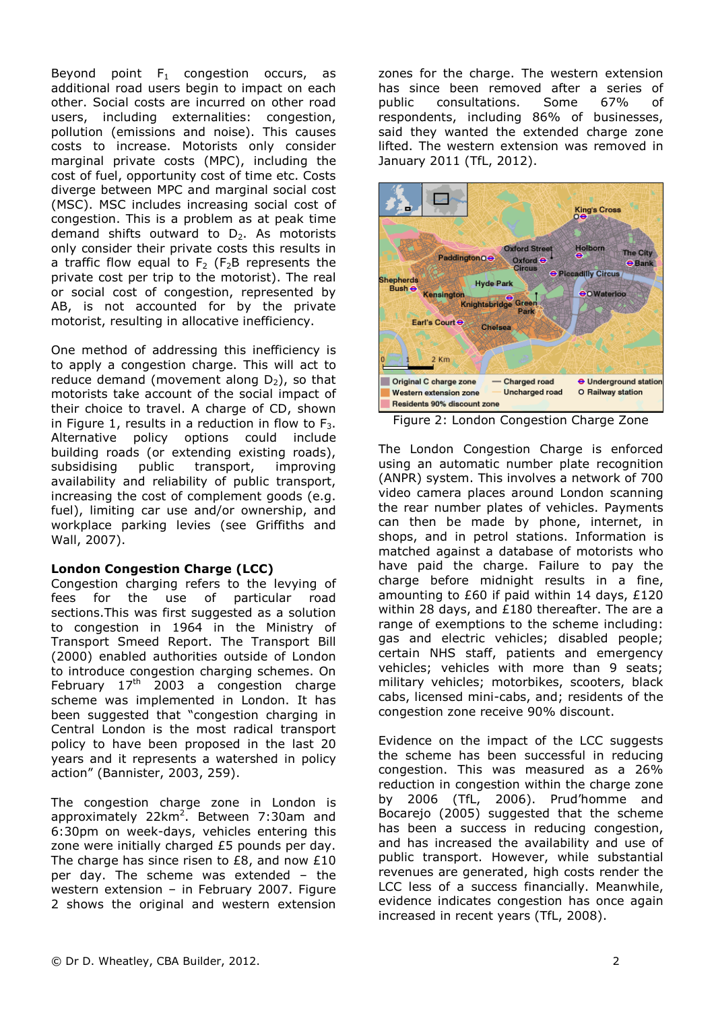Beyond point  $F_1$  congestion occurs, as additional road users begin to impact on each other. Social costs are incurred on other road users, including externalities: congestion, pollution (emissions and noise). This causes costs to increase. Motorists only consider marginal private costs (MPC), including the cost of fuel, opportunity cost of time etc. Costs diverge between MPC and marginal social cost (MSC). MSC includes increasing social cost of congestion. This is a problem as at peak time demand shifts outward to  $D_2$ . As motorists only consider their private costs this results in a traffic flow equal to  $F_2$  ( $F_2B$  represents the private cost per trip to the motorist). The real or social cost of congestion, represented by AB, is not accounted for by the private motorist, resulting in allocative inefficiency.

One method of addressing this inefficiency is to apply a congestion charge. This will act to reduce demand (movement along  $D_2$ ), so that motorists take account of the social impact of their choice to travel. A charge of CD, shown in Figure 1, results in a reduction in flow to  $F_3$ . Alternative policy options could include building roads (or extending existing roads), subsidising public transport, improving availability and reliability of public transport, increasing the cost of complement goods (e.g. fuel), limiting car use and/or ownership, and workplace parking levies (see Griffiths and Wall, 2007).

## London Congestion Charge (LCC)

Congestion charging refers to the levying of fees for the use of particular road sections.This was first suggested as a solution to congestion in 1964 in the Ministry of Transport Smeed Report. The Transport Bill (2000) enabled authorities outside of London to introduce congestion charging schemes. On February  $17<sup>th</sup>$  2003 a congestion charge scheme was implemented in London. It has been suggested that "congestion charging in Central London is the most radical transport policy to have been proposed in the last 20 years and it represents a watershed in policy action" (Bannister, 2003, 259).

The congestion charge zone in London is approximately 22km<sup>2</sup>. Between 7:30am and 6:30pm on week-days, vehicles entering this zone were initially charged £5 pounds per day. The charge has since risen to £8, and now £10 per day. The scheme was extended – the western extension – in February 2007. Figure 2 shows the original and western extension

zones for the charge. The western extension has since been removed after a series of<br>public consultations. Some 67% of public consultations. Some 67% of respondents, including 86% of businesses, said they wanted the extended charge zone lifted. The western extension was removed in January 2011 (TfL, 2012).



Figure 2: London Congestion Charge Zone

The London Congestion Charge is enforced using an automatic number plate recognition (ANPR) system. This involves a network of 700 video camera places around London scanning the rear number plates of vehicles. Payments can then be made by phone, internet, in shops, and in petrol stations. Information is matched against a database of motorists who have paid the charge. Failure to pay the charge before midnight results in a fine, amounting to £60 if paid within 14 days, £120 within 28 days, and £180 thereafter. The are a range of exemptions to the scheme including: gas and electric vehicles; disabled people; certain NHS staff, patients and emergency vehicles; vehicles with more than 9 seats; military vehicles; motorbikes, scooters, black cabs, licensed mini-cabs, and; residents of the congestion zone receive 90% discount.

Evidence on the impact of the LCC suggests the scheme has been successful in reducing congestion. This was measured as a 26% reduction in congestion within the charge zone by 2006 (TfL, 2006). Prud'homme and Bocarejo (2005) suggested that the scheme has been a success in reducing congestion, and has increased the availability and use of public transport. However, while substantial revenues are generated, high costs render the LCC less of a success financially. Meanwhile, evidence indicates congestion has once again increased in recent years (TfL, 2008).